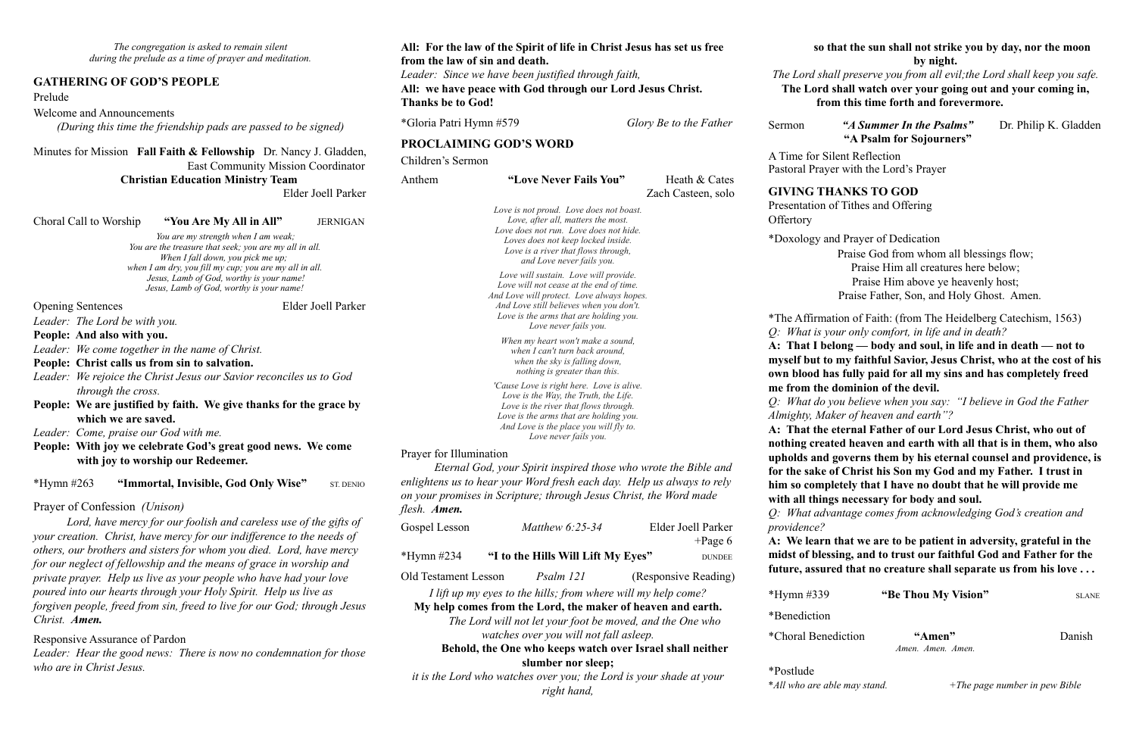#### the sun shall not strike you by day, nor the moon **by night.**

"A Summer In the Psalms" Dr. Philip K. Gladden **"A Psalm for Sojourners"**

nt Reflection with the Lord's Prayer

### **NKS TO GOD**

**Fithes and Offering** 

Prayer of Dedication raise God from whom all blessings flow; Praise Him all creatures here below; Praise Him above ye heavenly host; raise Father, Son, and Holy Ghost. Amen.

on of Faith: (from The Heidelberg Catechism, 1563) *only comfort, in life and in death?* 

 $\mathbf{H} = \mathbf{A} \mathbf{B} - \mathbf{A} \mathbf{B}$  and  $\mathbf{A} \mathbf{B}$  and  $\mathbf{A} \mathbf{B}$  and  $\mathbf{A} \mathbf{B}$  and  $\mathbf{A} \mathbf{B}$  and  $\mathbf{A} \mathbf{B}$ **myself but to my faithful Savior, Jesus Christ, who at the cost of his**  fully paid for all my sins and has completely freed minion of the devil.

believe when you say: "I believe in God the Father *Almighther of heaven and earth*"?

**A: That the eternal Father of our Lord Jesus Christ, who out of**  heaven and earth with all that is in them, who also verns them by his eternal counsel and providence, is *f* **Christ his Son my God and my Father. I trust in him so completely that I have no doubt that he will provide me with all secondary for body and soul.** 

tage comes from acknowledging God's creation and

at we are to be patient in adversity, grateful in the **g, and to trust our faithful God and Father for the funture shall separate us from his love ...** 

**"Be Thou My Vision"** SLANE

| The congregation is asked to remain silent<br>during the prelude as a time of prayer and meditation.                                           | All: For the law of the Spirit of life in Christ Jesus has set us free<br>from the law of sin and death.                                                              | so that                                                 |
|------------------------------------------------------------------------------------------------------------------------------------------------|-----------------------------------------------------------------------------------------------------------------------------------------------------------------------|---------------------------------------------------------|
| <b>GATHERING OF GOD'S PEOPLE</b><br>Prelude                                                                                                    | Leader: Since we have been justified through faith,<br>All: we have peace with God through our Lord Jesus Christ.<br><b>Thanks be to God!</b>                         | The Lord shall p<br>The Lord sha<br>from t              |
| <b>Welcome and Announcements</b>                                                                                                               |                                                                                                                                                                       |                                                         |
| (During this time the friendship pads are passed to be signed)                                                                                 | *Gloria Patri Hymn #579<br>Glory Be to the Father                                                                                                                     | Sermon                                                  |
| Minutes for Mission Fall Faith & Fellowship Dr. Nancy J. Gladden,<br><b>East Community Mission Coordinator</b>                                 | <b>PROCLAIMING GOD'S WORD</b><br>Children's Sermon                                                                                                                    | A Time for Silen                                        |
| <b>Christian Education Ministry Team</b>                                                                                                       | Anthem<br>"Love Never Fails You"                                                                                                                                      | Pastoral Prayer v<br>Heath & Cates                      |
| Elder Joell Parker                                                                                                                             | Zach Casteen, solo<br>Love is not proud. Love does not boast.                                                                                                         | <b>GIVING THAN</b><br>Presentation of T<br>Offertory    |
| Choral Call to Worship<br>"You Are My All in All"<br><b>JERNIGAN</b>                                                                           | Love, after all, matters the most.<br>Love does not run. Love does not hide.                                                                                          |                                                         |
| You are my strength when I am weak;<br>You are the treasure that seek; you are my all in all.<br>When I fall down, you pick me up;             | Loves does not keep locked inside.<br>Love is a river that flows through,<br>and Love never fails you.                                                                | *Doxology and I<br>Pr                                   |
| when I am dry, you fill my cup; you are my all in all.<br>Jesus, Lamb of God, worthy is your name!<br>Jesus, Lamb of God, worthy is your name! | Love will sustain. Love will provide.<br>Love will not cease at the end of time.<br>And Love will protect. Love always hopes.                                         | P <sub>1</sub>                                          |
| Elder Joell Parker<br><b>Opening Sentences</b>                                                                                                 | And Love still believes when you don't.                                                                                                                               |                                                         |
| Leader: The Lord be with you.                                                                                                                  | Love is the arms that are holding you.<br>Love never fails you.                                                                                                       | *The Affirmation                                        |
| People: And also with you.                                                                                                                     | When my heart won't make a sound,                                                                                                                                     | $Q$ : What is your<br>A: That I belon                   |
| Leader: We come together in the name of Christ.                                                                                                | when I can't turn back around,                                                                                                                                        | myself but to my                                        |
| People: Christ calls us from sin to salvation.                                                                                                 | when the sky is falling down,<br>nothing is greater than this.                                                                                                        | own blood has f                                         |
| Leader: We rejoice the Christ Jesus our Savior reconciles us to God<br><i>through the cross.</i>                                               | 'Cause Love is right here. Love is alive.                                                                                                                             | me from the dor                                         |
| People: We are justified by faith. We give thanks for the grace by                                                                             | Love is the Way, the Truth, the Life.<br>Love is the river that flows through.                                                                                        | Q: What do you                                          |
| which we are saved.                                                                                                                            | Love is the arms that are holding you.                                                                                                                                | Almighty, Maker                                         |
| Leader: Come, praise our God with me.                                                                                                          | And Love is the place you will fly to.<br>Love never fails you.                                                                                                       | A: That the eter                                        |
| People: With joy we celebrate God's great good news. We come<br>with joy to worship our Redeemer.                                              | Prayer for Illumination<br>Eternal God, your Spirit inspired those who wrote the Bible and                                                                            | nothing created<br>upholds and gov<br>for the sake of C |
| *Hymn $\#263$<br>"Immortal, Invisible, God Only Wise"<br><b>ST. DENIO</b>                                                                      | enlightens us to hear your Word fresh each day. Help us always to rely                                                                                                | him so complete                                         |
| Prayer of Confession (Unison)                                                                                                                  | on your promises in Scripture; through Jesus Christ, the Word made<br>flesh. Amen.                                                                                    | with all things n<br>Q: What advant                     |
| Lord, have mercy for our foolish and careless use of the gifts of<br>your creation. Christ, have mercy for our indifference to the needs of    | Gospel Lesson<br>Matthew 6:25-34<br>Elder Joell Parker                                                                                                                | <i>providence?</i><br>A: We learn tha<br>$+$ Page 6     |
| others, our brothers and sisters for whom you died. Lord, have mercy<br>for our neglect of fellowship and the means of grace in worship and    | *Hymn $#234$<br>"I to the Hills Will Lift My Eyes"                                                                                                                    | midst of blessing<br><b>DUNDEE</b>                      |
| private prayer. Help us live as your people who have had your love                                                                             | Old Testament Lesson<br>Psalm 121<br>(Responsive Reading)                                                                                                             | future, assured                                         |
| poured into our hearts through your Holy Spirit. Help us live as                                                                               | I lift up my eyes to the hills; from where will my help come?                                                                                                         | $*Hymn$ #339                                            |
| forgiven people, freed from sin, freed to live for our God; through Jesus<br>Christ. Amen.                                                     | My help comes from the Lord, the maker of heaven and earth.<br>The Lord will not let your foot be moved, and the One who                                              | *Benediction                                            |
| <b>Responsive Assurance of Pardon</b>                                                                                                          | watches over you will not fall asleep.                                                                                                                                | *Choral Benedic                                         |
| Leader: Hear the good news: There is now no condemnation for those<br>who are in Christ Jesus.                                                 | Behold, the One who keeps watch over Israel shall neither<br>slumber nor sleep;<br>it is the Lord who watches over you; the Lord is your shade at your<br>right hand, | *Postlude<br>*All who are able n                        |

*The Lord shall preserve you from all evil;the Lord shall keep you safe.* all watch over your going out and your coming in,  **from this time forth and forevermore.**

\*Choral Benediction **"Amen"** Danish *Amen. Amen. Amen.* 

 $^{2}$  *All may stand.*  $^{2}$  +The page number in pew Bible